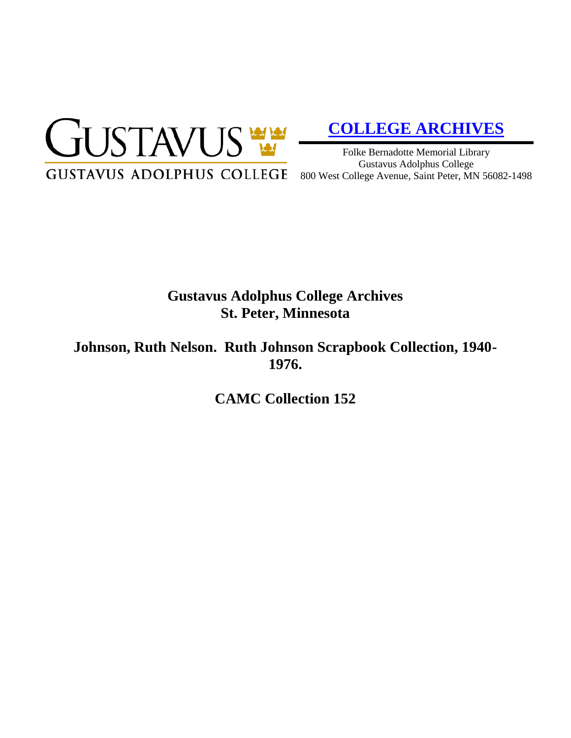

# **[COLLEGE ARCHIVES](http://gustavus.edu/academics/library/archives/)**

Folke Bernadotte Memorial Library Gustavus Adolphus College 800 West College Avenue, Saint Peter, MN 56082-1498

# **Gustavus Adolphus College Archives St. Peter, Minnesota**

**Johnson, Ruth Nelson. Ruth Johnson Scrapbook Collection, 1940- 1976.**

**CAMC Collection 152**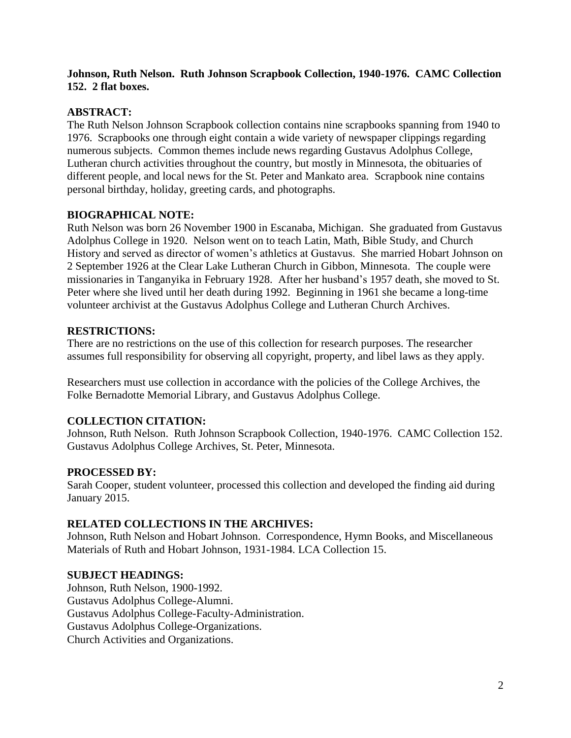## **Johnson, Ruth Nelson. Ruth Johnson Scrapbook Collection, 1940-1976. CAMC Collection 152. 2 flat boxes.**

## **ABSTRACT:**

The Ruth Nelson Johnson Scrapbook collection contains nine scrapbooks spanning from 1940 to 1976. Scrapbooks one through eight contain a wide variety of newspaper clippings regarding numerous subjects. Common themes include news regarding Gustavus Adolphus College, Lutheran church activities throughout the country, but mostly in Minnesota, the obituaries of different people, and local news for the St. Peter and Mankato area. Scrapbook nine contains personal birthday, holiday, greeting cards, and photographs.

#### **BIOGRAPHICAL NOTE:**

Ruth Nelson was born 26 November 1900 in Escanaba, Michigan. She graduated from Gustavus Adolphus College in 1920. Nelson went on to teach Latin, Math, Bible Study, and Church History and served as director of women's athletics at Gustavus. She married Hobart Johnson on 2 September 1926 at the Clear Lake Lutheran Church in Gibbon, Minnesota. The couple were missionaries in Tanganyika in February 1928. After her husband's 1957 death, she moved to St. Peter where she lived until her death during 1992. Beginning in 1961 she became a long-time volunteer archivist at the Gustavus Adolphus College and Lutheran Church Archives.

#### **RESTRICTIONS:**

There are no restrictions on the use of this collection for research purposes. The researcher assumes full responsibility for observing all copyright, property, and libel laws as they apply.

Researchers must use collection in accordance with the policies of the College Archives, the Folke Bernadotte Memorial Library, and Gustavus Adolphus College.

# **COLLECTION CITATION:**

Johnson, Ruth Nelson. Ruth Johnson Scrapbook Collection, 1940-1976. CAMC Collection 152. Gustavus Adolphus College Archives, St. Peter, Minnesota.

#### **PROCESSED BY:**

Sarah Cooper, student volunteer, processed this collection and developed the finding aid during January 2015.

#### **RELATED COLLECTIONS IN THE ARCHIVES:**

Johnson, Ruth Nelson and Hobart Johnson. Correspondence, Hymn Books, and Miscellaneous Materials of Ruth and Hobart Johnson, 1931-1984. LCA Collection 15.

#### **SUBJECT HEADINGS:**

Johnson, Ruth Nelson, 1900-1992. Gustavus Adolphus College-Alumni. Gustavus Adolphus College-Faculty-Administration. Gustavus Adolphus College-Organizations. Church Activities and Organizations.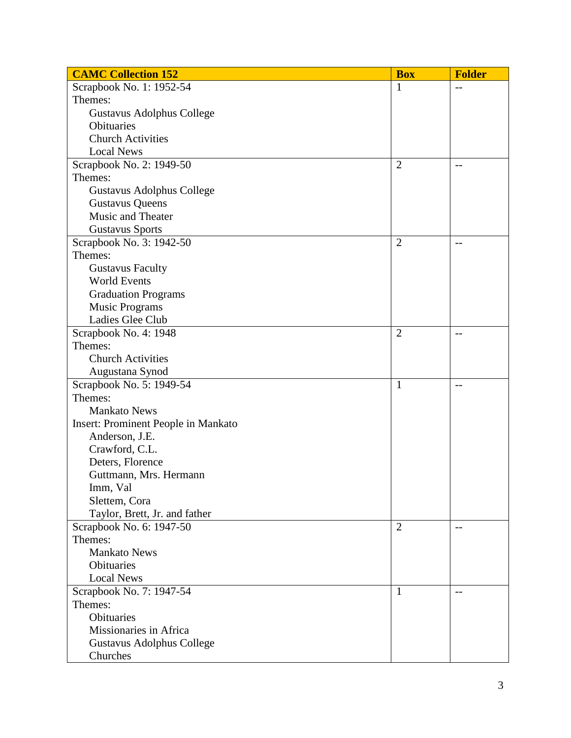| <b>CAMC Collection 152</b>                 | <b>Box</b>     | <b>Folder</b>            |
|--------------------------------------------|----------------|--------------------------|
| Scrapbook No. 1: 1952-54                   | 1              | $-$                      |
| Themes:                                    |                |                          |
| Gustavus Adolphus College                  |                |                          |
| Obituaries                                 |                |                          |
| <b>Church Activities</b>                   |                |                          |
| <b>Local News</b>                          |                |                          |
| Scrapbook No. 2: 1949-50                   | $\overline{2}$ | $-$                      |
| Themes:                                    |                |                          |
| Gustavus Adolphus College                  |                |                          |
| <b>Gustavus Queens</b>                     |                |                          |
| Music and Theater                          |                |                          |
| <b>Gustavus Sports</b>                     |                |                          |
| Scrapbook No. 3: 1942-50                   | $\overline{2}$ | $\overline{\phantom{a}}$ |
| Themes:                                    |                |                          |
| <b>Gustavus Faculty</b>                    |                |                          |
| <b>World Events</b>                        |                |                          |
| <b>Graduation Programs</b>                 |                |                          |
| <b>Music Programs</b>                      |                |                          |
| Ladies Glee Club                           |                |                          |
| Scrapbook No. 4: 1948                      | $\overline{2}$ | $-$                      |
| Themes:                                    |                |                          |
| <b>Church Activities</b>                   |                |                          |
| Augustana Synod                            |                |                          |
| Scrapbook No. 5: 1949-54                   | $\mathbf{1}$   | $-$                      |
| Themes:                                    |                |                          |
| <b>Mankato News</b>                        |                |                          |
| <b>Insert: Prominent People in Mankato</b> |                |                          |
| Anderson, J.E.                             |                |                          |
| Crawford, C.L.                             |                |                          |
| Deters, Florence                           |                |                          |
| Guttmann, Mrs. Hermann                     |                |                          |
| Imm, Val                                   |                |                          |
| Slettem, Cora                              |                |                          |
| Taylor, Brett, Jr. and father              |                |                          |
| Scrapbook No. 6: 1947-50                   | $\overline{2}$ | $-$                      |
| Themes:                                    |                |                          |
| <b>Mankato News</b>                        |                |                          |
| Obituaries                                 |                |                          |
| <b>Local News</b>                          |                |                          |
| Scrapbook No. 7: 1947-54                   | $\mathbf{1}$   | $-$                      |
| Themes:                                    |                |                          |
| Obituaries                                 |                |                          |
| Missionaries in Africa                     |                |                          |
| Gustavus Adolphus College                  |                |                          |
| Churches                                   |                |                          |